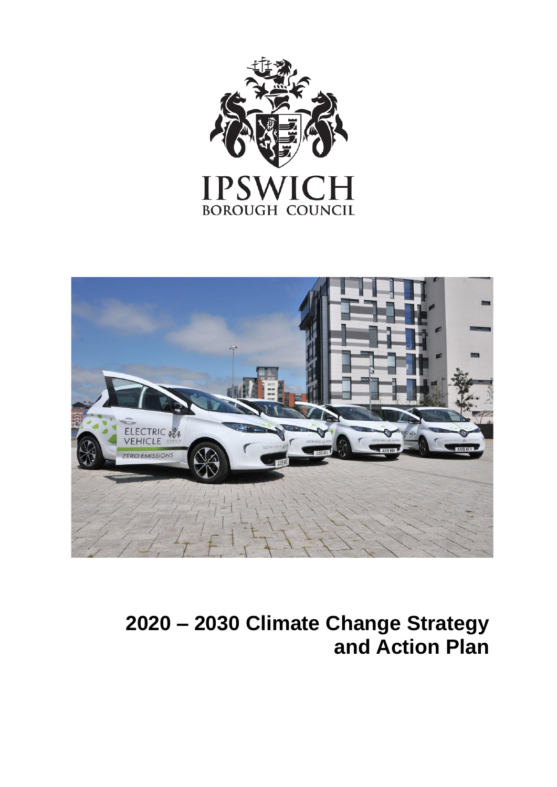



# **2020 – 2030 Climate Change Strategy and Action Plan**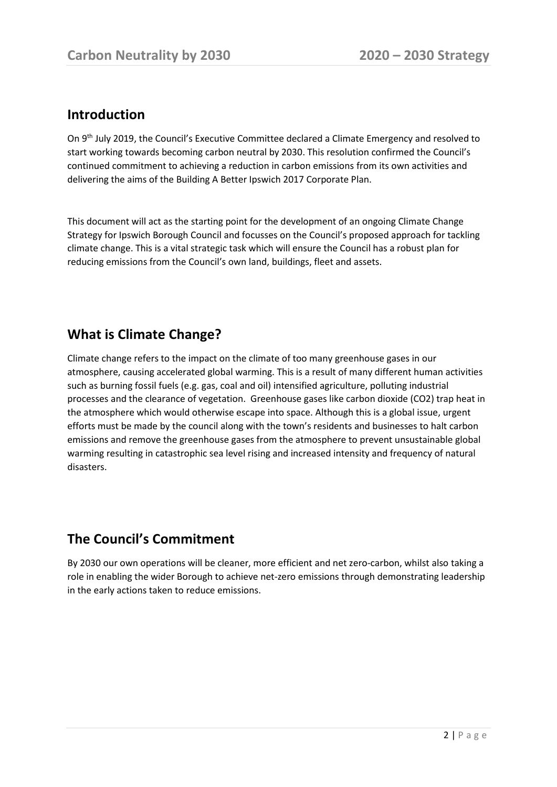### **Introduction**

On 9<sup>th</sup> July 2019, the Council's Executive Committee declared a Climate Emergency and resolved to start working towards becoming carbon neutral by 2030. This resolution confirmed the Council's continued commitment to achieving a reduction in carbon emissions from its own activities and delivering the aims of the Building A Better Ipswich 2017 Corporate Plan.

This document will act as the starting point for the development of an ongoing Climate Change Strategy for Ipswich Borough Council and focusses on the Council's proposed approach for tackling climate change. This is a vital strategic task which will ensure the Council has a robust plan for reducing emissions from the Council's own land, buildings, fleet and assets.

# **What is Climate Change?**

Climate change refers to the impact on the climate of too many greenhouse gases in our atmosphere, causing accelerated global warming. This is a result of many different human activities such as burning fossil fuels (e.g. gas, coal and oil) intensified agriculture, polluting industrial processes and the clearance of vegetation. Greenhouse gases like carbon dioxide (CO2) trap heat in the atmosphere which would otherwise escape into space. Although this is a global issue, urgent efforts must be made by the council along with the town's residents and businesses to halt carbon emissions and remove the greenhouse gases from the atmosphere to prevent unsustainable global warming resulting in catastrophic sea level rising and increased intensity and frequency of natural disasters.

# **The Council's Commitment**

By 2030 our own operations will be cleaner, more efficient and net zero-carbon, whilst also taking a role in enabling the wider Borough to achieve net-zero emissions through demonstrating leadership in the early actions taken to reduce emissions.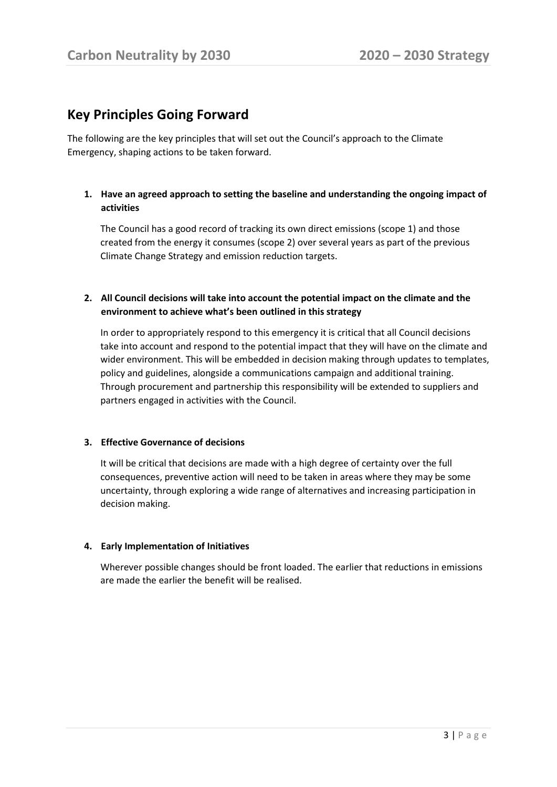### **Key Principles Going Forward**

The following are the key principles that will set out the Council's approach to the Climate Emergency, shaping actions to be taken forward.

#### **1. Have an agreed approach to setting the baseline and understanding the ongoing impact of activities**

The Council has a good record of tracking its own direct emissions (scope 1) and those created from the energy it consumes (scope 2) over several years as part of the previous Climate Change Strategy and emission reduction targets.

#### **2. All Council decisions will take into account the potential impact on the climate and the environment to achieve what's been outlined in this strategy**

In order to appropriately respond to this emergency it is critical that all Council decisions take into account and respond to the potential impact that they will have on the climate and wider environment. This will be embedded in decision making through updates to templates, policy and guidelines, alongside a communications campaign and additional training. Through procurement and partnership this responsibility will be extended to suppliers and partners engaged in activities with the Council.

#### **3. Effective Governance of decisions**

It will be critical that decisions are made with a high degree of certainty over the full consequences, preventive action will need to be taken in areas where they may be some uncertainty, through exploring a wide range of alternatives and increasing participation in decision making.

#### **4. Early Implementation of Initiatives**

Wherever possible changes should be front loaded. The earlier that reductions in emissions are made the earlier the benefit will be realised.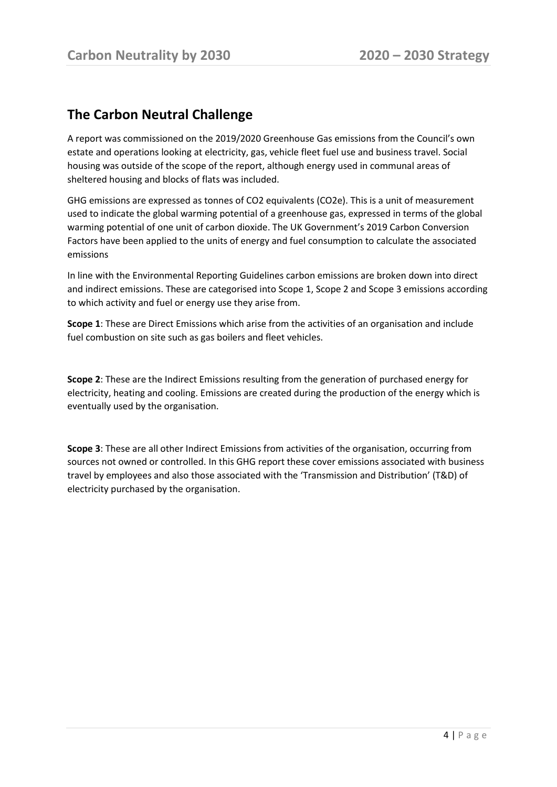## **The Carbon Neutral Challenge**

A report was commissioned on the 2019/2020 Greenhouse Gas emissions from the Council's own estate and operations looking at electricity, gas, vehicle fleet fuel use and business travel. Social housing was outside of the scope of the report, although energy used in communal areas of sheltered housing and blocks of flats was included.

GHG emissions are expressed as tonnes of CO2 equivalents (CO2e). This is a unit of measurement used to indicate the global warming potential of a greenhouse gas, expressed in terms of the global warming potential of one unit of carbon dioxide. The UK Government's 2019 Carbon Conversion Factors have been applied to the units of energy and fuel consumption to calculate the associated emissions

In line with the Environmental Reporting Guidelines carbon emissions are broken down into direct and indirect emissions. These are categorised into Scope 1, Scope 2 and Scope 3 emissions according to which activity and fuel or energy use they arise from.

**Scope 1**: These are Direct Emissions which arise from the activities of an organisation and include fuel combustion on site such as gas boilers and fleet vehicles.

**Scope 2**: These are the Indirect Emissions resulting from the generation of purchased energy for electricity, heating and cooling. Emissions are created during the production of the energy which is eventually used by the organisation.

**Scope 3**: These are all other Indirect Emissions from activities of the organisation, occurring from sources not owned or controlled. In this GHG report these cover emissions associated with business travel by employees and also those associated with the 'Transmission and Distribution' (T&D) of electricity purchased by the organisation.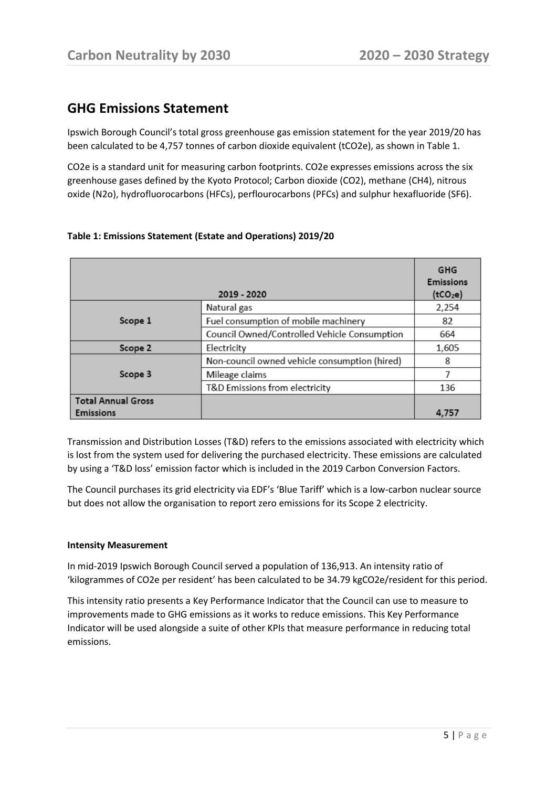## **GHG Emissions Statement**

Ipswich Borough Council's total gross greenhouse gas emission statement for the year 2019/20 has been calculated to be 4,757 tonnes of carbon dioxide equivalent (tCO2e), as shown in Table 1.

CO2e is a standard unit for measuring carbon footprints. CO2e expresses emissions across the six greenhouse gases defined by the Kyoto Protocol; Carbon dioxide (CO2), methane (CH4), nitrous oxide (N2o), hydrofluorocarbons (HFCs), perflourocarbons (PFCs) and sulphur hexafluoride (SF6).

|                                               | 2019 - 2020                                   | <b>GHG</b><br><b>Emissions</b><br>(tCO <sub>2</sub> e) |
|-----------------------------------------------|-----------------------------------------------|--------------------------------------------------------|
|                                               | Natural gas                                   | 2,254                                                  |
| Scope 1                                       | Fuel consumption of mobile machinery          | 82                                                     |
|                                               | Council Owned/Controlled Vehicle Consumption  | 664                                                    |
| Scope 2                                       | Electricity                                   | 1,605                                                  |
|                                               | Non-council owned vehicle consumption (hired) | 8                                                      |
| Scope 3                                       | Mileage claims                                |                                                        |
|                                               | T&D Emissions from electricity                | 136                                                    |
| <b>Total Annual Gross</b><br><b>Emissions</b> |                                               | 4,757                                                  |

#### **Table 1: Emissions Statement (Estate and Operations) 2019/20**

Transmission and Distribution Losses (T&D) refers to the emissions associated with electricity which is lost from the system used for delivering the purchased electricity. These emissions are calculated by using a 'T&D loss' emission factor which is included in the 2019 Carbon Conversion Factors.

The Council purchases its grid electricity via EDF's 'Blue Tariff' which is a low-carbon nuclear source but does not allow the organisation to report zero emissions for its Scope 2 electricity.

#### **Intensity Measurement**

In mid-2019 Ipswich Borough Council served a population of 136,913. An intensity ratio of 'kilogrammes of CO2e per resident' has been calculated to be 34.79 kgCO2e/resident for this period.

This intensity ratio presents a Key Performance Indicator that the Council can use to measure to improvements made to GHG emissions as it works to reduce emissions. This Key Performance Indicator will be used alongside a suite of other KPIs that measure performance in reducing total emissions.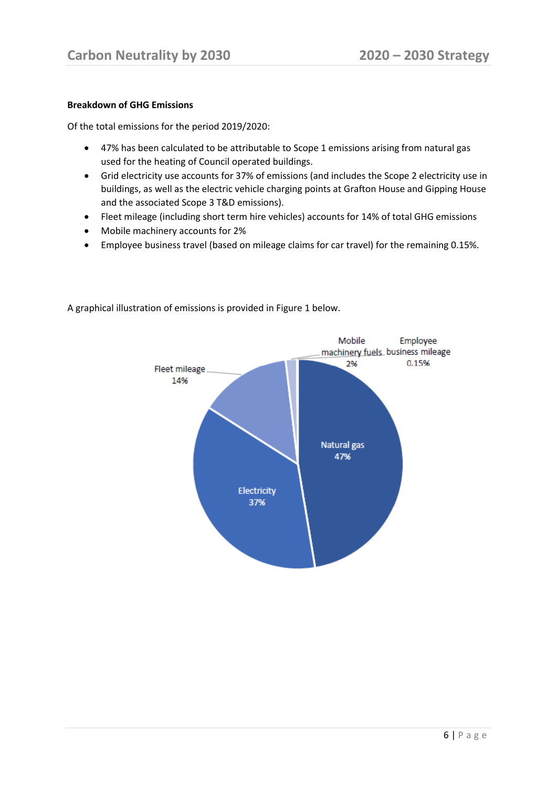#### **Breakdown of GHG Emissions**

Of the total emissions for the period 2019/2020:

- 47% has been calculated to be attributable to Scope 1 emissions arising from natural gas used for the heating of Council operated buildings.
- Grid electricity use accounts for 37% of emissions (and includes the Scope 2 electricity use in buildings, as well as the electric vehicle charging points at Grafton House and Gipping House and the associated Scope 3 T&D emissions).
- Fleet mileage (including short term hire vehicles) accounts for 14% of total GHG emissions
- Mobile machinery accounts for 2%
- Employee business travel (based on mileage claims for car travel) for the remaining 0.15%.



A graphical illustration of emissions is provided in Figure 1 below.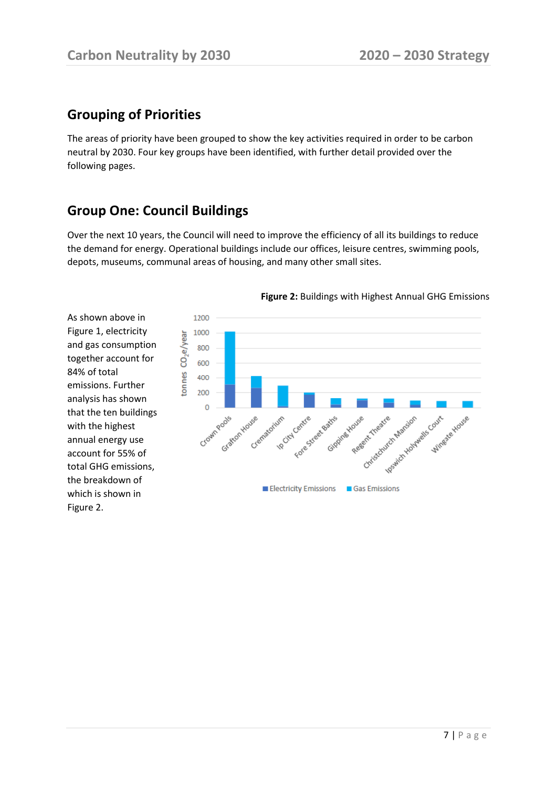# **Grouping of Priorities**

As shown above in Figure 1, electricity and gas consumption together account for

emissions. Further analysis has shown that the ten buildings with the highest annual energy use account for 55% of total GHG emissions, the breakdown of which is shown in

84% of total

Figure 2.

The areas of priority have been grouped to show the key activities required in order to be carbon neutral by 2030. Four key groups have been identified, with further detail provided over the following pages.

# **Group One: Council Buildings**

Over the next 10 years, the Council will need to improve the efficiency of all its buildings to reduce the demand for energy. Operational buildings include our offices, leisure centres, swimming pools, depots, museums, communal areas of housing, and many other small sites.

> 1200 1000 tonnes CO<sub>2</sub>e/year 800 600 400 200  $\Omega$ Idealick Handle Court Grattom Cret Forestree Batts Crown Grass Christmastre Marsion Wineste House in City Centre Crematorium Regent Treatre Gippine House Gas Emissions **Electricity Emissions**

#### **Figure 2:** Buildings with Highest Annual GHG Emissions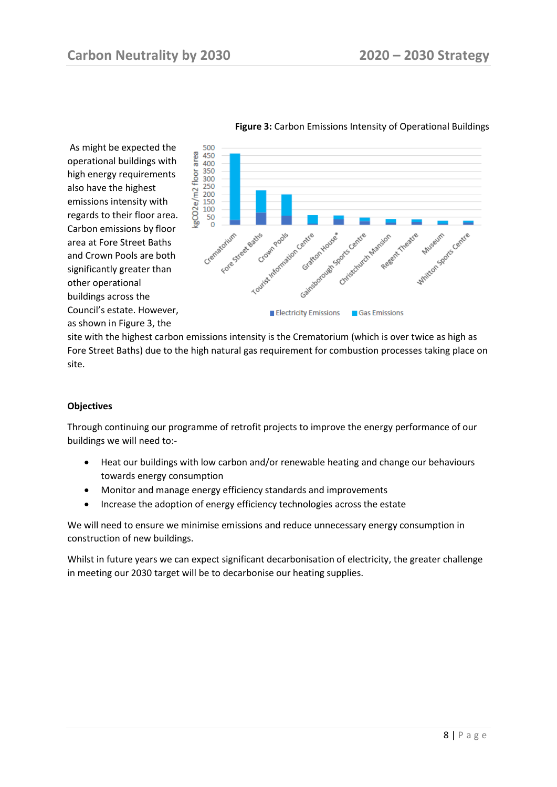

**Figure 3:** Carbon Emissions Intensity of Operational Buildings

site with the highest carbon emissions intensity is the Crematorium (which is over twice as high as Fore Street Baths) due to the high natural gas requirement for combustion processes taking place on site.

#### **Objectives**

Through continuing our programme of retrofit projects to improve the energy performance of our buildings we will need to:-

- Heat our buildings with low carbon and/or renewable heating and change our behaviours towards energy consumption
- Monitor and manage energy efficiency standards and improvements
- Increase the adoption of energy efficiency technologies across the estate

We will need to ensure we minimise emissions and reduce unnecessary energy consumption in construction of new buildings.

Whilst in future years we can expect significant decarbonisation of electricity, the greater challenge in meeting our 2030 target will be to decarbonise our heating supplies.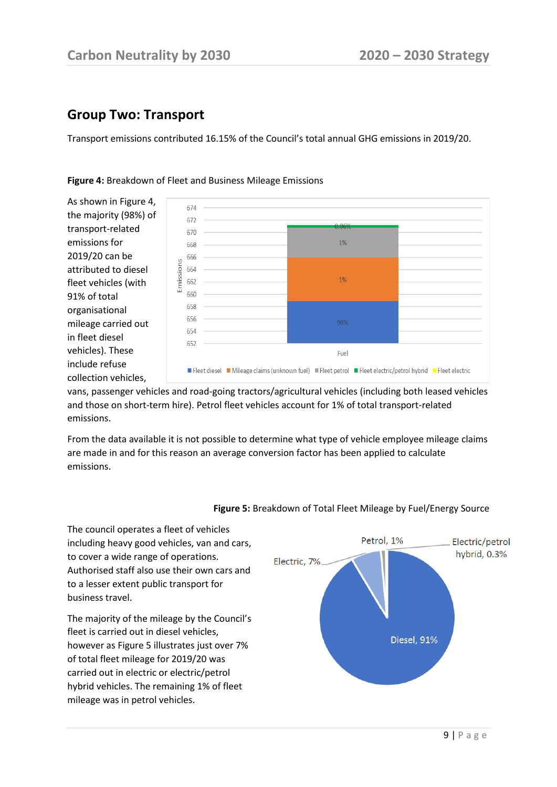### **Group Two: Transport**

to cover a wide range of operations.

to a lesser extent public transport for

fleet is carried out in diesel vehicles,

mileage was in petrol vehicles.

business travel.

Transport emissions contributed 16.15% of the Council's total annual GHG emissions in 2019/20.



#### **Figure 4:** Breakdown of Fleet and Business Mileage Emissions

vans, passenger vehicles and road-going tractors/agricultural vehicles (including both leased vehicles and those on short-term hire). Petrol fleet vehicles account for 1% of total transport-related emissions.

From the data available it is not possible to determine what type of vehicle employee mileage claims are made in and for this reason an average conversion factor has been applied to calculate emissions.



#### **Figure 5:** Breakdown of Total Fleet Mileage by Fuel/Energy Source

9 | P a g e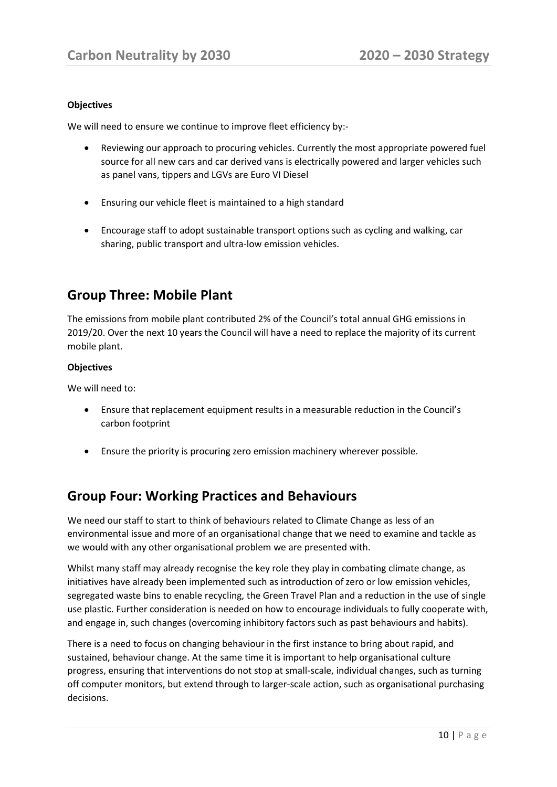#### **Objectives**

We will need to ensure we continue to improve fleet efficiency by:-

- Reviewing our approach to procuring vehicles. Currently the most appropriate powered fuel source for all new cars and car derived vans is electrically powered and larger vehicles such as panel vans, tippers and LGVs are Euro VI Diesel
- Ensuring our vehicle fleet is maintained to a high standard
- Encourage staff to adopt sustainable transport options such as cycling and walking, car sharing, public transport and ultra-low emission vehicles.

### **Group Three: Mobile Plant**

The emissions from mobile plant contributed 2% of the Council's total annual GHG emissions in 2019/20. Over the next 10 years the Council will have a need to replace the majority of its current mobile plant.

#### **Objectives**

We will need to:

- Ensure that replacement equipment results in a measurable reduction in the Council's carbon footprint
- Ensure the priority is procuring zero emission machinery wherever possible.

### **Group Four: Working Practices and Behaviours**

We need our staff to start to think of behaviours related to Climate Change as less of an environmental issue and more of an organisational change that we need to examine and tackle as we would with any other organisational problem we are presented with.

Whilst many staff may already recognise the key role they play in combating climate change, as initiatives have already been implemented such as introduction of zero or low emission vehicles, segregated waste bins to enable recycling, the Green Travel Plan and a reduction in the use of single use plastic. Further consideration is needed on how to encourage individuals to fully cooperate with, and engage in, such changes (overcoming inhibitory factors such as past behaviours and habits).

There is a need to focus on changing behaviour in the first instance to bring about rapid, and sustained, behaviour change. At the same time it is important to help organisational culture progress, ensuring that interventions do not stop at small-scale, individual changes, such as turning off computer monitors, but extend through to larger-scale action, such as organisational purchasing decisions.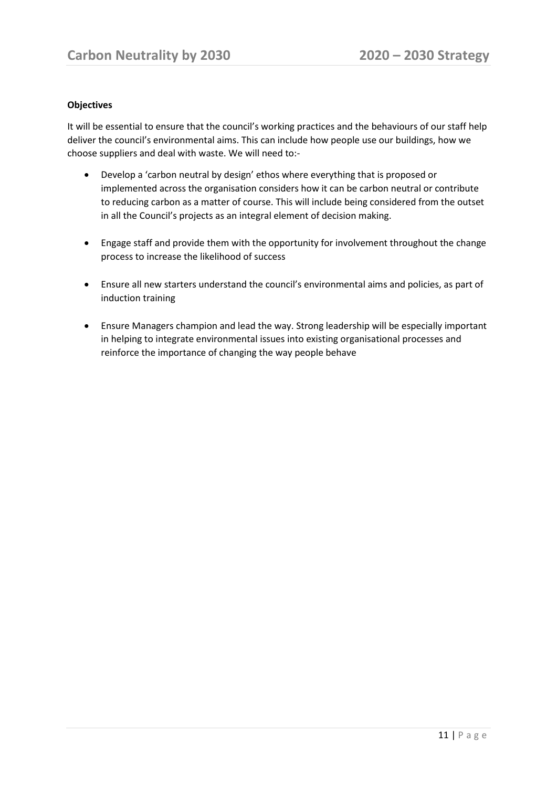#### **Objectives**

It will be essential to ensure that the council's working practices and the behaviours of our staff help deliver the council's environmental aims. This can include how people use our buildings, how we choose suppliers and deal with waste. We will need to:-

- Develop a 'carbon neutral by design' ethos where everything that is proposed or implemented across the organisation considers how it can be carbon neutral or contribute to reducing carbon as a matter of course. This will include being considered from the outset in all the Council's projects as an integral element of decision making.
- Engage staff and provide them with the opportunity for involvement throughout the change process to increase the likelihood of success
- Ensure all new starters understand the council's environmental aims and policies, as part of induction training
- Ensure Managers champion and lead the way. Strong leadership will be especially important in helping to integrate environmental issues into existing organisational processes and reinforce the importance of changing the way people behave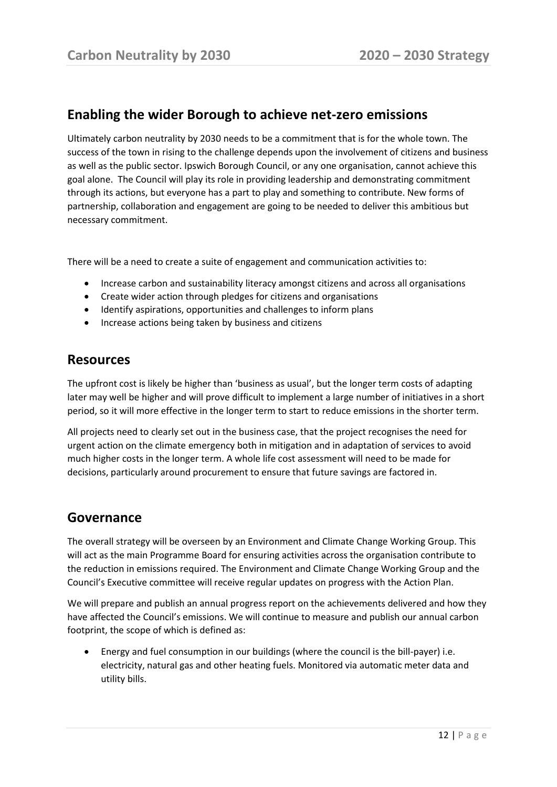### **Enabling the wider Borough to achieve net-zero emissions**

Ultimately carbon neutrality by 2030 needs to be a commitment that is for the whole town. The success of the town in rising to the challenge depends upon the involvement of citizens and business as well as the public sector. Ipswich Borough Council, or any one organisation, cannot achieve this goal alone. The Council will play its role in providing leadership and demonstrating commitment through its actions, but everyone has a part to play and something to contribute. New forms of partnership, collaboration and engagement are going to be needed to deliver this ambitious but necessary commitment.

There will be a need to create a suite of engagement and communication activities to:

- Increase carbon and sustainability literacy amongst citizens and across all organisations
- Create wider action through pledges for citizens and organisations
- Identify aspirations, opportunities and challenges to inform plans
- Increase actions being taken by business and citizens

### **Resources**

The upfront cost is likely be higher than 'business as usual', but the longer term costs of adapting later may well be higher and will prove difficult to implement a large number of initiatives in a short period, so it will more effective in the longer term to start to reduce emissions in the shorter term.

All projects need to clearly set out in the business case, that the project recognises the need for urgent action on the climate emergency both in mitigation and in adaptation of services to avoid much higher costs in the longer term. A whole life cost assessment will need to be made for decisions, particularly around procurement to ensure that future savings are factored in.

#### **Governance**

The overall strategy will be overseen by an Environment and Climate Change Working Group. This will act as the main Programme Board for ensuring activities across the organisation contribute to the reduction in emissions required. The Environment and Climate Change Working Group and the Council's Executive committee will receive regular updates on progress with the Action Plan.

We will prepare and publish an annual progress report on the achievements delivered and how they have affected the Council's emissions. We will continue to measure and publish our annual carbon footprint, the scope of which is defined as:

• Energy and fuel consumption in our buildings (where the council is the bill-payer) i.e. electricity, natural gas and other heating fuels. Monitored via automatic meter data and utility bills.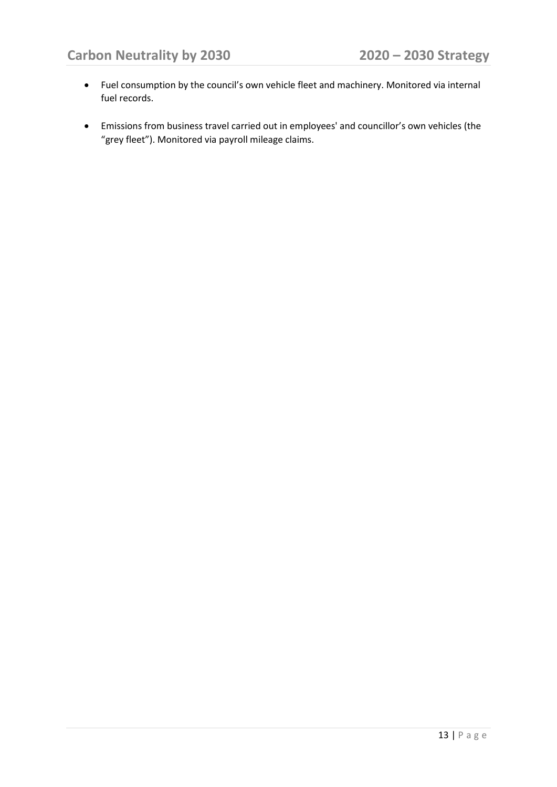- Fuel consumption by the council's own vehicle fleet and machinery. Monitored via internal fuel records.
- Emissions from business travel carried out in employees' and councillor's own vehicles (the "grey fleet"). Monitored via payroll mileage claims.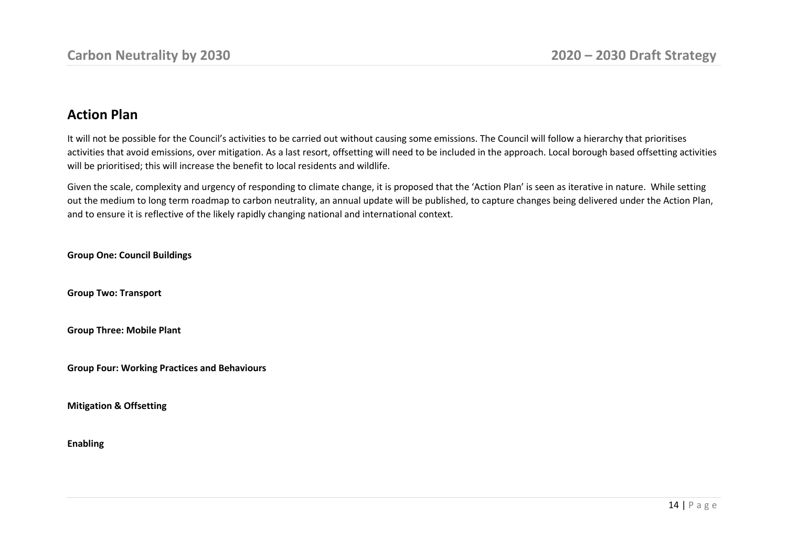### **Action Plan**

It will not be possible for the Council's activities to be carried out without causing some emissions. The Council will follow a hierarchy that prioritises activities that avoid emissions, over mitigation. As a last resort, offsetting will need to be included in the approach. Local borough based offsetting activities will be prioritised; this will increase the benefit to local residents and wildlife.

Given the scale, complexity and urgency of responding to climate change, it is proposed that the 'Action Plan' is seen as iterative in nature. While setting out the medium to long term roadmap to carbon neutrality, an annual update will be published, to capture changes being delivered under the Action Plan, and to ensure it is reflective of the likely rapidly changing national and international context.

**Group One: Council Buildings**

**Group Two: Transport**

**Group Three: Mobile Plant**

**Group Four: Working Practices and Behaviours**

**Mitigation & Offsetting** 

#### **Enabling**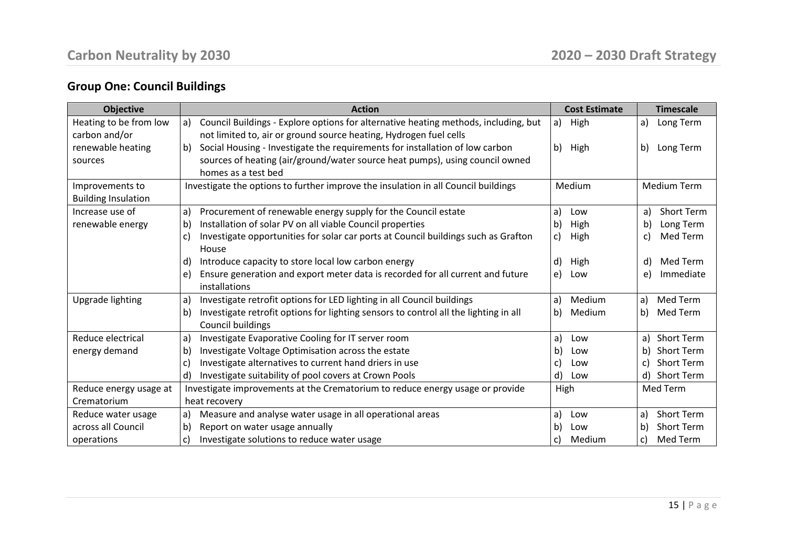# **Group One: Council Buildings**

| <b>Objective</b>           | <b>Action</b>                                                                        | <b>Cost Estimate</b> | <b>Timescale</b>   |
|----------------------------|--------------------------------------------------------------------------------------|----------------------|--------------------|
| Heating to be from low     | Council Buildings - Explore options for alternative heating methods, including, but  | a)                   | Long Term          |
|                            | a)                                                                                   | High                 | a)                 |
| carbon and/or              | not limited to, air or ground source heating, Hydrogen fuel cells                    |                      |                    |
| renewable heating          | Social Housing - Investigate the requirements for installation of low carbon<br>b)   | b) High              | Long Term<br>b)    |
| sources                    | sources of heating (air/ground/water source heat pumps), using council owned         |                      |                    |
|                            | homes as a test bed                                                                  |                      |                    |
| Improvements to            | Investigate the options to further improve the insulation in all Council buildings   | Medium               | <b>Medium Term</b> |
| <b>Building Insulation</b> |                                                                                      |                      |                    |
| Increase use of            | Procurement of renewable energy supply for the Council estate                        | a)                   | Short Term         |
|                            | a)                                                                                   | Low                  | a)                 |
| renewable energy           | Installation of solar PV on all viable Council properties                            | High                 | Long Term          |
|                            | b)                                                                                   | b)                   | b)                 |
|                            | Investigate opportunities for solar car ports at Council buildings such as Grafton   | High                 | Med Term           |
|                            | C)                                                                                   | C)                   | C)                 |
|                            | House                                                                                |                      |                    |
|                            | Introduce capacity to store local low carbon energy                                  | d)                   | Med Term           |
|                            | d)                                                                                   | High                 | d)                 |
|                            | Ensure generation and export meter data is recorded for all current and future       | e)                   | Immediate          |
|                            | e)                                                                                   | Low                  | e)                 |
|                            | installations                                                                        |                      |                    |
| Upgrade lighting           | Investigate retrofit options for LED lighting in all Council buildings               | Medium               | Med Term           |
|                            | a)                                                                                   | a)                   | a)                 |
|                            | Investigate retrofit options for lighting sensors to control all the lighting in all | Medium               | b)                 |
|                            | b)                                                                                   | b)                   | Med Term           |
|                            | Council buildings                                                                    |                      |                    |
| Reduce electrical          | Investigate Evaporative Cooling for IT server room                                   | a)                   | <b>Short Term</b>  |
|                            | a)                                                                                   | Low                  | a)                 |
| energy demand              | Investigate Voltage Optimisation across the estate                                   | b)                   | <b>Short Term</b>  |
|                            | b)                                                                                   | Low                  | b)                 |
|                            | Investigate alternatives to current hand driers in use                               | C)                   | <b>Short Term</b>  |
|                            | C)                                                                                   | Low                  | $\mathsf{C}$       |
|                            | Investigate suitability of pool covers at Crown Pools                                | d)                   | Short Term         |
|                            | d)                                                                                   | Low                  | d)                 |
| Reduce energy usage at     | Investigate improvements at the Crematorium to reduce energy usage or provide        | High                 | Med Term           |
| Crematorium                | heat recovery                                                                        |                      |                    |
| Reduce water usage         | Measure and analyse water usage in all operational areas                             | a)                   | <b>Short Term</b>  |
|                            | a)                                                                                   | Low                  | a)                 |
| across all Council         | Report on water usage annually                                                       | b)                   | <b>Short Term</b>  |
|                            | b)                                                                                   | Low                  | b)                 |
| operations                 | Investigate solutions to reduce water usage                                          | Medium               | Med Term           |
|                            | C)                                                                                   | C)                   | C)                 |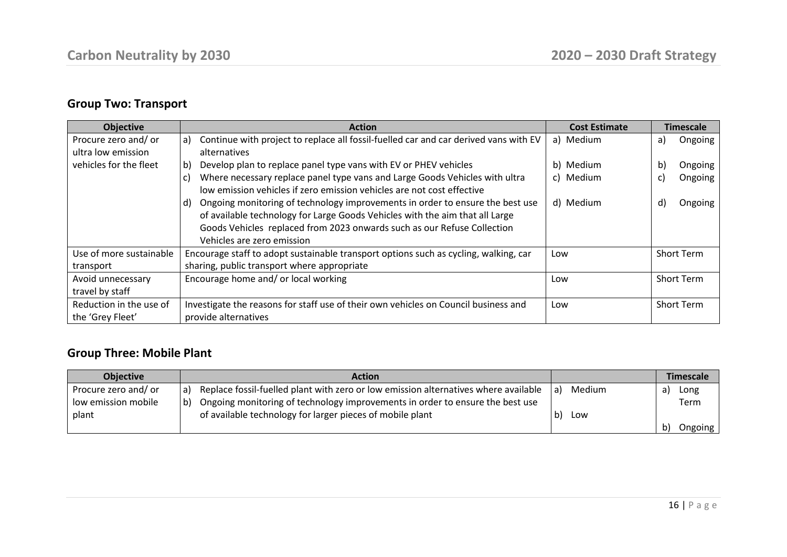# **Group Two: Transport**

| <b>Objective</b>                           | <b>Action</b>                                                                                                                                                                                                                                                                | <b>Cost Estimate</b> | <b>Timescale</b>  |  |
|--------------------------------------------|------------------------------------------------------------------------------------------------------------------------------------------------------------------------------------------------------------------------------------------------------------------------------|----------------------|-------------------|--|
| Procure zero and/ or<br>ultra low emission | Continue with project to replace all fossil-fuelled car and car derived vans with EV<br>a)<br>alternatives                                                                                                                                                                   | a) Medium            | Ongoing<br>a)     |  |
| vehicles for the fleet                     | Develop plan to replace panel type vans with EV or PHEV vehicles<br>b)                                                                                                                                                                                                       | b) Medium            | b)<br>Ongoing     |  |
|                                            | Where necessary replace panel type vans and Large Goods Vehicles with ultra<br>C)<br>low emission vehicles if zero emission vehicles are not cost effective                                                                                                                  | c) Medium            | Ongoing<br>C)     |  |
|                                            | Ongoing monitoring of technology improvements in order to ensure the best use<br>d)<br>of available technology for Large Goods Vehicles with the aim that all Large<br>Goods Vehicles replaced from 2023 onwards such as our Refuse Collection<br>Vehicles are zero emission | d) Medium            | d)<br>Ongoing     |  |
| Use of more sustainable                    | Encourage staff to adopt sustainable transport options such as cycling, walking, car                                                                                                                                                                                         |                      | <b>Short Term</b> |  |
| transport                                  | sharing, public transport where appropriate                                                                                                                                                                                                                                  |                      |                   |  |
| Avoid unnecessary                          | Encourage home and/ or local working                                                                                                                                                                                                                                         |                      | <b>Short Term</b> |  |
| travel by staff                            |                                                                                                                                                                                                                                                                              |                      |                   |  |
| Reduction in the use of                    | Investigate the reasons for staff use of their own vehicles on Council business and                                                                                                                                                                                          |                      | <b>Short Term</b> |  |
| the 'Grey Fleet'                           | provide alternatives                                                                                                                                                                                                                                                         |                      |                   |  |

### **Group Three: Mobile Plant**

| <b>Objective</b>     | <b>Action</b>                                                                                   |        | <b>Timescale</b>        |
|----------------------|-------------------------------------------------------------------------------------------------|--------|-------------------------|
| Procure zero and/ or | Replace fossil-fuelled plant with zero or low emission alternatives where available $ a $<br>a) | Medium | Long<br>a)              |
| low emission mobile  | Ongoing monitoring of technology improvements in order to ensure the best use<br>b)             |        | Term                    |
| plant                | of available technology for larger pieces of mobile plant                                       | Low    |                         |
|                      |                                                                                                 |        | $\mathsf{b}$<br>Ongoing |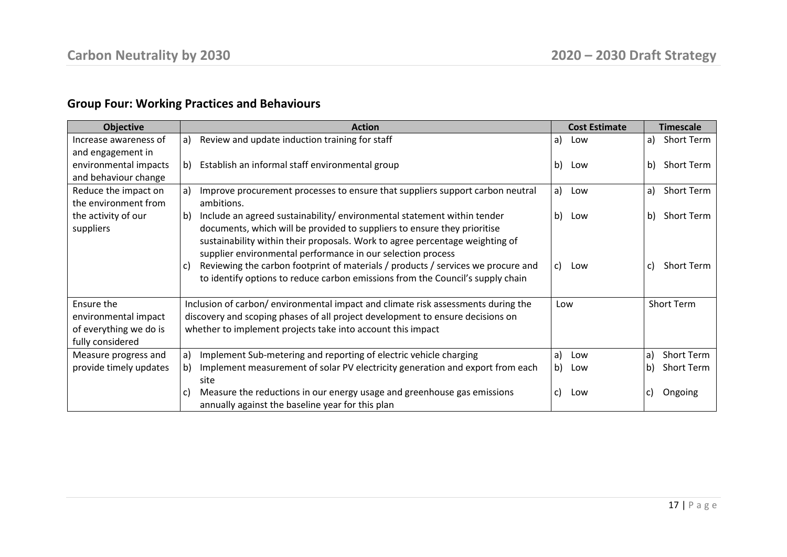# **Group Four: Working Practices and Behaviours**

| <b>Objective</b>       | <b>Action</b>                                                                          | <b>Cost Estimate</b> | <b>Timescale</b>        |
|------------------------|----------------------------------------------------------------------------------------|----------------------|-------------------------|
| Increase awareness of  | Review and update induction training for staff<br>a)                                   | a)<br>Low            | Short Term<br>a)        |
| and engagement in      |                                                                                        |                      |                         |
| environmental impacts  | Establish an informal staff environmental group<br>b)                                  | b)<br>Low            | Short Term<br>b)        |
| and behaviour change   |                                                                                        |                      |                         |
| Reduce the impact on   | Improve procurement processes to ensure that suppliers support carbon neutral<br>a)    | Low<br>a)            | Short Term<br>a)        |
| the environment from   | ambitions.                                                                             |                      |                         |
| the activity of our    | Include an agreed sustainability/environmental statement within tender<br>b)           | b)<br>Low            | Short Term<br>b)        |
| suppliers              | documents, which will be provided to suppliers to ensure they prioritise               |                      |                         |
|                        | sustainability within their proposals. Work to agree percentage weighting of           |                      |                         |
|                        | supplier environmental performance in our selection process                            |                      |                         |
|                        | Reviewing the carbon footprint of materials / products / services we procure and<br>C) | C)<br>Low            | <b>Short Term</b><br>C) |
|                        | to identify options to reduce carbon emissions from the Council's supply chain         |                      |                         |
| Ensure the             | Inclusion of carbon/ environmental impact and climate risk assessments during the      | Low                  | <b>Short Term</b>       |
| environmental impact   | discovery and scoping phases of all project development to ensure decisions on         |                      |                         |
| of everything we do is | whether to implement projects take into account this impact                            |                      |                         |
| fully considered       |                                                                                        |                      |                         |
| Measure progress and   | Implement Sub-metering and reporting of electric vehicle charging<br>a)                | Low<br>a)            | Short Term<br>a)        |
| provide timely updates | Implement measurement of solar PV electricity generation and export from each<br>b)    | b)<br>Low            | Short Term<br>b)        |
|                        | site                                                                                   |                      |                         |
|                        | Measure the reductions in our energy usage and greenhouse gas emissions<br>C)          | C)<br>Low            | Ongoing                 |
|                        | annually against the baseline year for this plan                                       |                      |                         |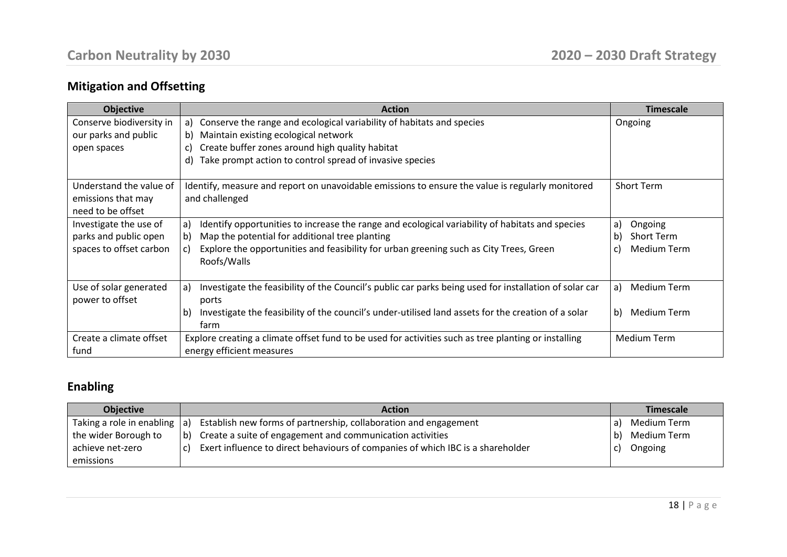# **Mitigation and Offsetting**

| <b>Objective</b>                                                   | <b>Action</b>                                                                                                      | <b>Timescale</b>            |
|--------------------------------------------------------------------|--------------------------------------------------------------------------------------------------------------------|-----------------------------|
| Conserve biodiversity in                                           | a) Conserve the range and ecological variability of habitats and species                                           | Ongoing                     |
| our parks and public                                               | b) Maintain existing ecological network                                                                            |                             |
| open spaces                                                        | Create buffer zones around high quality habitat<br>C)                                                              |                             |
|                                                                    | d) Take prompt action to control spread of invasive species                                                        |                             |
| Understand the value of<br>emissions that may<br>need to be offset | Identify, measure and report on unavoidable emissions to ensure the value is regularly monitored<br>and challenged | <b>Short Term</b>           |
| Investigate the use of                                             | Identify opportunities to increase the range and ecological variability of habitats and species<br>a)              | Ongoing<br>a)               |
| parks and public open                                              | Map the potential for additional tree planting<br>b)                                                               | b)<br><b>Short Term</b>     |
| spaces to offset carbon                                            | Explore the opportunities and feasibility for urban greening such as City Trees, Green<br>C)<br>Roofs/Walls        | <b>Medium Term</b><br>C)    |
| Use of solar generated                                             | Investigate the feasibility of the Council's public car parks being used for installation of solar car<br>a)       | <b>Medium Term</b><br>a)    |
| power to offset                                                    | ports                                                                                                              |                             |
|                                                                    | Investigate the feasibility of the council's under-utilised land assets for the creation of a solar<br>b)<br>farm  | $\mathsf{b}$<br>Medium Term |
| Create a climate offset                                            | Explore creating a climate offset fund to be used for activities such as tree planting or installing               | Medium Term                 |
| fund                                                               | energy efficient measures                                                                                          |                             |

# **Enabling**

| <b>Objective</b>                | <b>Action</b>                                                                         | <b>Timescale</b>    |
|---------------------------------|---------------------------------------------------------------------------------------|---------------------|
| Taking a role in enabling $ a $ | Establish new forms of partnership, collaboration and engagement                      | Medium Term         |
| the wider Borough to            | Create a suite of engagement and communication activities<br>l b)                     | Medium Term<br>l b) |
| achieve net-zero                | Exert influence to direct behaviours of companies of which IBC is a shareholder<br>C) | Ongoing             |
| emissions                       |                                                                                       |                     |